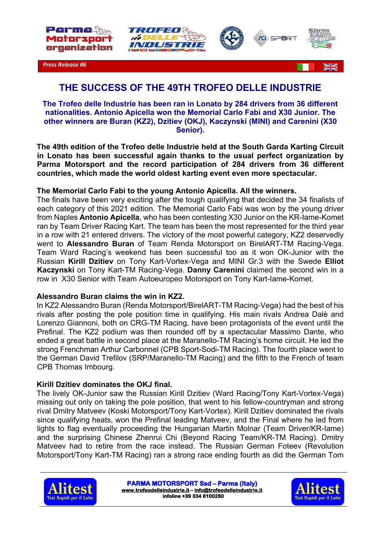







*Press Release #6*



# **THE SUCCESS OF THE 49TH TROFEO DELLE INDUSTRIE**

**The Trofeo delle Industrie has been ran in Lonato by 284 drivers from 36 different nationalities. Antonio Apicella won the Memorial Carlo Fabi and X30 Junior. The other winners are Buran (KZ2), Dzitiev (OKJ), Kaczynski (MINI) and Carenini (X30 Senior).**

**The 49th edition of the Trofeo delle Industrie held at the South Garda Karting Circuit in Lonato has been successful again thanks to the usual perfect organization by Parma Motorsport and the record participation of 284 drivers from 36 different countries, which made the world oldest karting event even more spectacular.** 

## **The Memorial Carlo Fabi to the young Antonio Apicella. All the winners.**

The finals have been very exciting after the tough qualifying that decided the 34 finalists of each category of this 2021 edition. The Memorial Carlo Fabi was won by the young driver from Naples **Antonio Apicella**, who has been contesting X30 Junior on the KR-Iame-Komet ran by Team Driver Racing Kart. The team has been the most represented for the third year in a row with 21 entered drivers. The victory of the most powerful category, KZ2 deservedly went to **Alessandro Buran** of Team Renda Motorsport on BirelART-TM Racing-Vega. Team Ward Racing's weekend has been successful too as it won OK-Junior with the Russian **Kirill Dzitiev** on Tony Kart-Vortex-Vega and MINI Gr.3 with the Swede **Elliot Kaczynski** on Tony Kart-TM Racing-Vega. **Danny Carenini** claimed the second win in a row in X30 Senior with Team Autoeuropeo Motorsport on Tony Kart-Iame-Komet.

## **Alessandro Buran claims the win in KZ2.**

In KZ2 Alessandro Buran (Renda Motorsport/BirelART-TM Racing-Vega) had the best of his rivals after posting the pole position time in qualifying. His main rivals Andrea Dalè and Lorenzo Giannoni, both on CRG-TM Racing, have been protagonists of the event until the Prefinal. The KZ2 podium was then rounded off by a spectacular Massimo Dante, who ended a great battle in second place at the Maranello-TM Racing's home circuit. He led the strong Frenchman Arthur Carbonnel (CPB Sport-Sodi-TM Racing). The fourth place went to the German David Trefilov (SRP/Maranello-TM Racing) and the fifth to the French of team CPB Thomas Imbourg.

## **Kirill Dzitiev dominates the OKJ final.**

The lively OK-Junior saw the Russian Kirill Dzitiev (Ward Racing/Tony Kart-Vortex-Vega) missing out only on taking the pole position, that went to his fellow-countryman and strong rival Dmitry Matveev (Koski Motorsport/Tony Kart-Vortex). Kirill Dzitiev dominated the rivals since qualifying heats, won the Prefinal leading Matveev, and the Final where he led from lights to flag eventually proceeding the Hungarian Martin Molnar (Team Driver/KR-Iame) and the surprising Chinese Zhenrui Chi (Beyond Racing Team/KR-TM Racing). Dmitry Matveev had to retire from the race instead. The Russian German Foteev (Revolution Motorsport/Tony Kart-TM Racing) ran a strong race ending fourth as did the German Tom



**PARMA MOTORSPORT Ssd – Parma (Italy) www.trofeodelleindustrie.it – info@trofeodelleindustrie.it infoline +39 334 6100280**